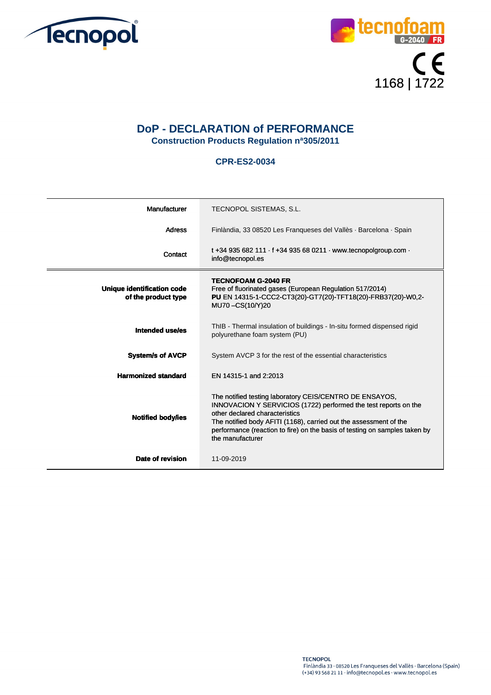



## **DoP - DECLARATION of PERFORMANCE Construction Products Regulation nª305/2011**

## **CPR-ES2-0034**

| Manufacturer                                      | TECNOPOL SISTEMAS, S.L.                                                                                                                                                                                                                                                                                                             |
|---------------------------------------------------|-------------------------------------------------------------------------------------------------------------------------------------------------------------------------------------------------------------------------------------------------------------------------------------------------------------------------------------|
| <b>Adress</b>                                     | Finlàndia, 33 08520 Les Franqueses del Vallès · Barcelona · Spain                                                                                                                                                                                                                                                                   |
| Contact                                           | t +34 935 682 111 $\cdot$ f +34 935 68 0211 $\cdot$ www.tecnopolgroup.com $\cdot$<br>info@tecnopol.es                                                                                                                                                                                                                               |
| Unique identification code<br>of the product type | <b>TECNOFOAM G-2040 FR</b><br>Free of fluorinated gases (European Regulation 517/2014)<br>PU EN 14315-1-CCC2-CT3(20)-GT7(20)-TFT18(20)-FRB37(20)-W0,2-<br>MU70-CS(10/Y)20                                                                                                                                                           |
| Intended use/es                                   | ThIB - Thermal insulation of buildings - In-situ formed dispensed rigid<br>polyurethane foam system (PU)                                                                                                                                                                                                                            |
| <b>System/s of AVCP</b>                           | System AVCP 3 for the rest of the essential characteristics                                                                                                                                                                                                                                                                         |
| <b>Harmonized standard</b>                        | EN 14315-1 and 2:2013                                                                                                                                                                                                                                                                                                               |
| <b>Notified body/ies</b>                          | The notified testing laboratory CEIS/CENTRO DE ENSAYOS,<br>INNOVACION Y SERVICIOS (1722) performed the test reports on the<br>other declared characteristics<br>The notified body AFITI (1168), carried out the assessment of the<br>performance (reaction to fire) on the basis of testing on samples taken by<br>the manufacturer |
| Date of revision                                  | 11-09-2019                                                                                                                                                                                                                                                                                                                          |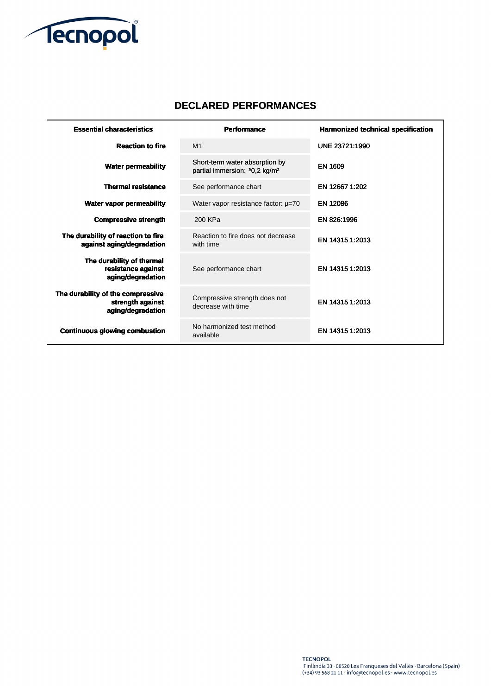

 $\sim$ 

## **DECLARED PERFORMANCES**

| <b>Essential characteristics</b>                                           | <b>Performance</b>                                                          | <b>Harmonized technical specification</b> |
|----------------------------------------------------------------------------|-----------------------------------------------------------------------------|-------------------------------------------|
| <b>Reaction to fire</b>                                                    | M <sub>1</sub>                                                              | UNE 23721:1990                            |
| <b>Water permeability</b>                                                  | Short-term water absorption by<br>partial immersion: 50,2 kg/m <sup>2</sup> | <b>EN 1609</b>                            |
| <b>Thermal resistance</b>                                                  | See performance chart                                                       | EN 12667 1:202                            |
| <b>Water vapor permeability</b>                                            | Water vapor resistance factor: $\mu$ =70                                    | <b>EN 12086</b>                           |
| <b>Compressive strength</b>                                                | 200 KPa                                                                     | EN 826:1996                               |
| The durability of reaction to fire<br>against aging/degradation            | Reaction to fire does not decrease<br>with time                             | EN 14315 1:2013                           |
| The durability of thermal<br>resistance against<br>aging/degradation       | See performance chart                                                       | EN 14315 1:2013                           |
| The durability of the compressive<br>strength against<br>aging/degradation | Compressive strength does not<br>decrease with time                         | EN 14315 1:2013                           |
| <b>Continuous glowing combustion</b>                                       | No harmonized test method<br>available                                      | EN 14315 1:2013                           |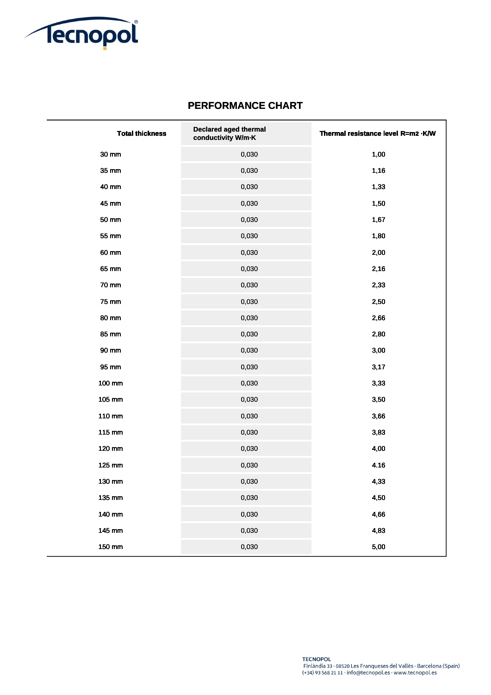

## **PERFORMANCE CHART**

| <b>Total thickness</b> | Declared aged thermal<br>conductivity W/m-K | Thermal resistance level R=m2 .K/W |
|------------------------|---------------------------------------------|------------------------------------|
| 30 mm                  | 0,030                                       | 1,00                               |
| 35 mm                  | 0,030                                       | 1,16                               |
| 40 mm                  | 0,030                                       | 1,33                               |
| 45 mm                  | 0,030                                       | 1,50                               |
| 50 mm                  | 0,030                                       | 1,67                               |
| 55 mm                  | 0,030                                       | 1,80                               |
| 60 mm                  | 0,030                                       | 2,00                               |
| 65 mm                  | 0,030                                       | 2,16                               |
| <b>70 mm</b>           | 0,030                                       | 2,33                               |
| 75 mm                  | 0,030                                       | 2,50                               |
| 80 mm                  | 0,030                                       | 2,66                               |
| 85 mm                  | 0,030                                       | 2,80                               |
| 90 mm                  | 0,030                                       | 3,00                               |
| 95 mm                  | 0,030                                       | 3,17                               |
| 100 mm                 | 0,030                                       | 3,33                               |
| 105 mm                 | 0,030                                       | 3,50                               |
| 110 mm                 | 0,030                                       | 3,66                               |
| 115 mm                 | 0,030                                       | 3,83                               |
| 120 mm                 | 0,030                                       | 4,00                               |
| 125 mm                 | 0,030                                       | 4.16                               |
| 130 mm                 | 0,030                                       | 4,33                               |
| 135 mm                 | 0,030                                       | 4,50                               |
| 140 mm                 | 0,030                                       | 4,66                               |
| 145 mm                 | 0,030                                       | 4,83                               |
| 150 mm                 | 0,030                                       | 5,00                               |